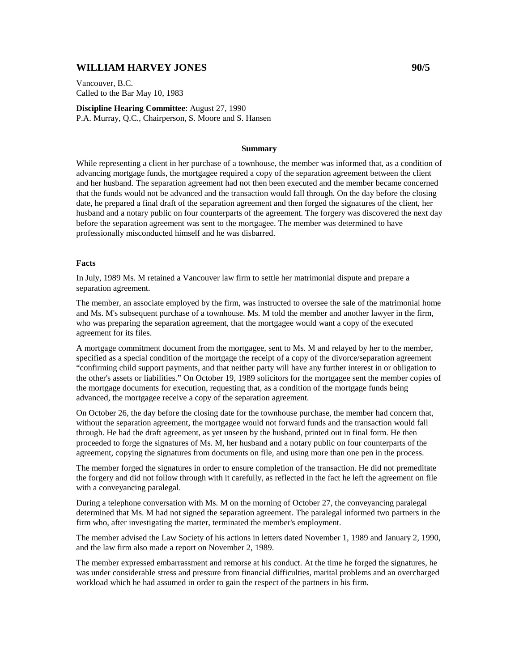# WILLIAM HARVEY JONES **1999 1999 1999 90/5**

Vancouver, B.C. Called to the Bar May 10, 1983

**Discipline Hearing Committee**: August 27, 1990 P.A. Murray, Q.C., Chairperson, S. Moore and S. Hansen

#### **Summary**

While representing a client in her purchase of a townhouse, the member was informed that, as a condition of advancing mortgage funds, the mortgagee required a copy of the separation agreement between the client and her husband. The separation agreement had not then been executed and the member became concerned that the funds would not be advanced and the transaction would fall through. On the day before the closing date, he prepared a final draft of the separation agreement and then forged the signatures of the client, her husband and a notary public on four counterparts of the agreement. The forgery was discovered the next day before the separation agreement was sent to the mortgagee. The member was determined to have professionally misconducted himself and he was disbarred.

#### **Facts**

In July, 1989 Ms. M retained a Vancouver law firm to settle her matrimonial dispute and prepare a separation agreement.

The member, an associate employed by the firm, was instructed to oversee the sale of the matrimonial home and Ms. M's subsequent purchase of a townhouse. Ms. M told the member and another lawyer in the firm, who was preparing the separation agreement, that the mortgagee would want a copy of the executed agreement for its files.

A mortgage commitment document from the mortgagee, sent to Ms. M and relayed by her to the member, specified as a special condition of the mortgage the receipt of a copy of the divorce/separation agreement "confirming child support payments, and that neither party will have any further interest in or obligation to the other's assets or liabilities." On October 19, 1989 solicitors for the mortgagee sent the member copies of the mortgage documents for execution, requesting that, as a condition of the mortgage funds being advanced, the mortgagee receive a copy of the separation agreement.

On October 26, the day before the closing date for the townhouse purchase, the member had concern that, without the separation agreement, the mortgagee would not forward funds and the transaction would fall through. He had the draft agreement, as yet unseen by the husband, printed out in final form. He then proceeded to forge the signatures of Ms. M, her husband and a notary public on four counterparts of the agreement, copying the signatures from documents on file, and using more than one pen in the process.

The member forged the signatures in order to ensure completion of the transaction. He did not premeditate the forgery and did not follow through with it carefully, as reflected in the fact he left the agreement on file with a conveyancing paralegal.

During a telephone conversation with Ms. M on the morning of October 27, the conveyancing paralegal determined that Ms. M had not signed the separation agreement. The paralegal informed two partners in the firm who, after investigating the matter, terminated the member's employment.

The member advised the Law Society of his actions in letters dated November 1, 1989 and January 2, 1990, and the law firm also made a report on November 2, 1989.

The member expressed embarrassment and remorse at his conduct. At the time he forged the signatures, he was under considerable stress and pressure from financial difficulties, marital problems and an overcharged workload which he had assumed in order to gain the respect of the partners in his firm.